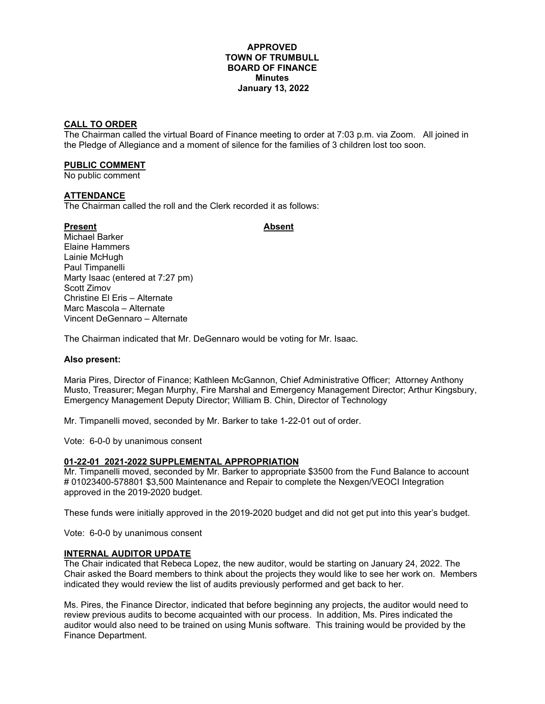#### **APPROVED TOWN OF TRUMBULL BOARD OF FINANCE Minutes January 13, 2022**

### **CALL TO ORDER**

The Chairman called the virtual Board of Finance meeting to order at 7:03 p.m. via Zoom. All joined in the Pledge of Allegiance and a moment of silence for the families of 3 children lost too soon.

#### **PUBLIC COMMENT**

No public comment

#### **ATTENDANCE**

The Chairman called the roll and the Clerk recorded it as follows:

#### Present **Absent**

Michael Barker Elaine Hammers Lainie McHugh Paul Timpanelli Marty Isaac (entered at 7:27 pm) Scott Zimov Christine El Eris – Alternate Marc Mascola – Alternate Vincent DeGennaro – Alternate

The Chairman indicated that Mr. DeGennaro would be voting for Mr. Isaac.

#### **Also present:**

Maria Pires, Director of Finance; Kathleen McGannon, Chief Administrative Officer; Attorney Anthony Musto, Treasurer; Megan Murphy, Fire Marshal and Emergency Management Director; Arthur Kingsbury, Emergency Management Deputy Director; William B. Chin, Director of Technology

Mr. Timpanelli moved, seconded by Mr. Barker to take 1-22-01 out of order.

Vote: 6-0-0 by unanimous consent

#### **01-22-01 2021-2022 SUPPLEMENTAL APPROPRIATION**

Mr. Timpanelli moved, seconded by Mr. Barker to appropriate \$3500 from the Fund Balance to account # 01023400-578801 \$3,500 Maintenance and Repair to complete the Nexgen/VEOCI Integration approved in the 2019-2020 budget.

These funds were initially approved in the 2019-2020 budget and did not get put into this year's budget.

Vote: 6-0-0 by unanimous consent

#### **INTERNAL AUDITOR UPDATE**

The Chair indicated that Rebeca Lopez, the new auditor, would be starting on January 24, 2022. The Chair asked the Board members to think about the projects they would like to see her work on. Members indicated they would review the list of audits previously performed and get back to her.

Ms. Pires, the Finance Director, indicated that before beginning any projects, the auditor would need to review previous audits to become acquainted with our process. In addition, Ms. Pires indicated the auditor would also need to be trained on using Munis software. This training would be provided by the Finance Department.